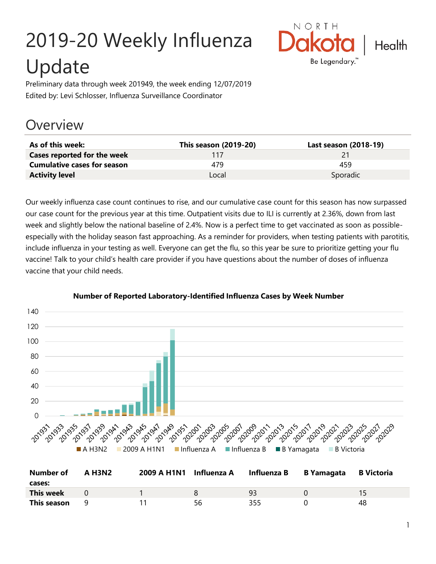# 2019-20 Weekly Influenza Update



Preliminary data through week 201949, the week ending 12/07/2019 Edited by: Levi Schlosser, Influenza Surveillance Coordinator

# **Overview**

| As of this week:                   | This season (2019-20) | Last season (2018-19) |
|------------------------------------|-----------------------|-----------------------|
| Cases reported for the week        | 117                   |                       |
| <b>Cumulative cases for season</b> | 479                   | 459                   |
| <b>Activity level</b>              | Local                 | Sporadic              |

Our weekly influenza case count continues to rise, and our cumulative case count for this season has now surpassed our case count for the previous year at this time. Outpatient visits due to ILI is currently at 2.36%, down from last week and slightly below the national baseline of 2.4%. Now is a perfect time to get vaccinated as soon as possibleespecially with the holiday season fast approaching. As a reminder for providers, when testing patients with parotitis, include influenza in your testing as well. Everyone can get the flu, so this year be sure to prioritize getting your flu vaccine! Talk to your child's health care provider if you have questions about the number of doses of influenza vaccine that your child needs.



#### **Number of Reported Laboratory-Identified Influenza Cases by Week Number**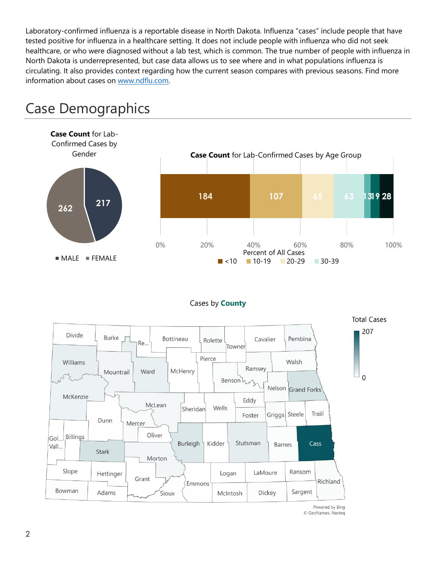Laboratory-confirmed influenza is a reportable disease in North Dakota. Influenza "cases" include people that have tested positive for influenza in a healthcare setting. It does not include people with influenza who did not seek healthcare, or who were diagnosed without a lab test, which is common. The true number of people with influenza in North Dakota is underrepresented, but case data allows us to see where and in what populations influenza is circulating. It also provides context regarding how the current season compares with previous seasons. Find more information about cases on [www.ndflu.com.](file://///nd.gov/doh/DOH-DATA/MSS/DC/PROGRAM/IMMUNE/Immunize/Influenza/Inf18-19/Surveillance/Weekly%20Summaries/www.ndflu.com)



# Case Demographics

#### Cases by **County**



© GeoNames, Navteq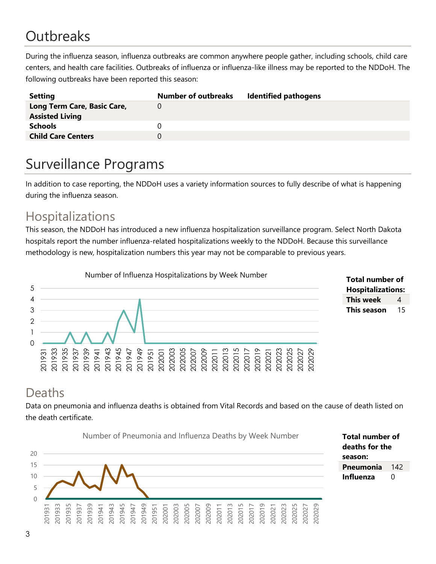# **Outbreaks**

During the influenza season, influenza outbreaks are common anywhere people gather, including schools, child care centers, and health care facilities. Outbreaks of influenza or influenza-like illness may be reported to the NDDoH. The following outbreaks have been reported this season:

| <b>Setting</b>              | <b>Number of outbreaks</b> | <b>Identified pathogens</b> |
|-----------------------------|----------------------------|-----------------------------|
| Long Term Care, Basic Care, |                            |                             |
| <b>Assisted Living</b>      |                            |                             |
| <b>Schools</b>              |                            |                             |
| <b>Child Care Centers</b>   |                            |                             |
|                             |                            |                             |

# Surveillance Programs

In addition to case reporting, the NDDoH uses a variety information sources to fully describe of what is happening during the influenza season.

## Hospitalizations

This season, the NDDoH has introduced a new influenza hospitalization surveillance program. Select North Dakota hospitals report the number influenza-related hospitalizations weekly to the NDDoH. Because this surveillance methodology is new, hospitalization numbers this year may not be comparable to previous years.





### Deaths

Data on pneumonia and influenza deaths is obtained from Vital Records and based on the cause of death listed on the death certificate.



**Total number of deaths for the season: Pneumonia** 142 **Influenza** 0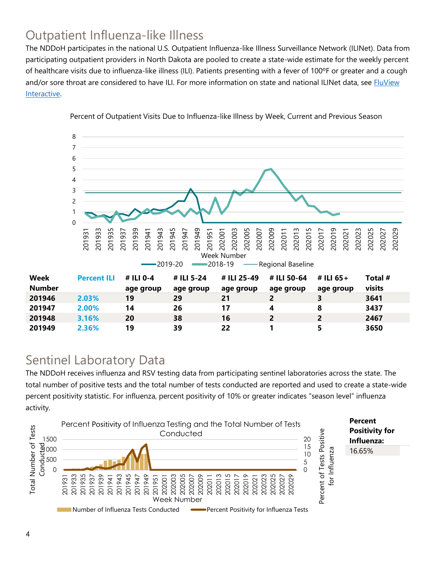# Outpatient Influenza-like Illness

The NDDoH participates in the national U.S. Outpatient Influenza-like Illness Surveillance Network (ILINet). Data from participating outpatient providers in North Dakota are pooled to create a state-wide estimate for the weekly percent of healthcare visits due to influenza-like illness (ILI). Patients presenting with a fever of 100ºF or greater and a cough and/or sore throat are considered to have ILI. For more information on state and national ILINet data, see **FluView** [Interactive.](https://gis.cdc.gov/grasp/fluview/fluportaldashboard.html)



Percent of Outpatient Visits Due to Influenza-like Illness by Week, Current and Previous Season

## Sentinel Laboratory Data

The NDDoH receives influenza and RSV testing data from participating sentinel laboratories across the state. The total number of positive tests and the total number of tests conducted are reported and used to create a state-wide percent positivity statistic. For influenza, percent positivity of 10% or greater indicates "season level" influenza activity.

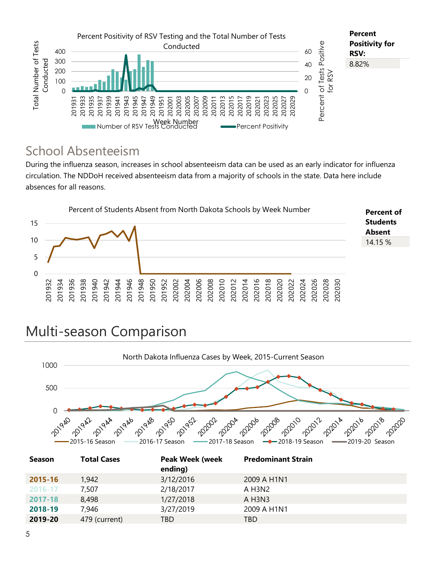

## School Absenteeism

During the influenza season, increases in school absenteeism data can be used as an early indicator for influenza circulation. The NDDoH received absenteeism data from a majority of schools in the state. Data here include absences for all reasons.



# Multi-season Comparison